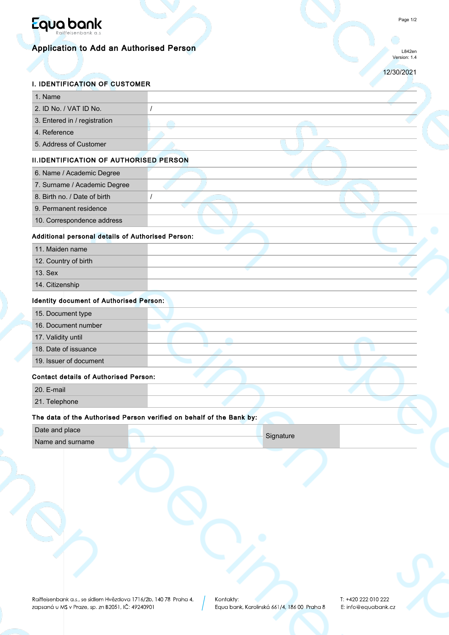

# Application to Add an Authorised Person

L842en Version: 1.4

12/30/2021

## I. IDENTIFICATION OF CUSTOMER

| 1. Name                                           |                                                                      |
|---------------------------------------------------|----------------------------------------------------------------------|
| 2. ID No. / VAT ID No.                            | $\prime$                                                             |
| 3. Entered in / registration                      |                                                                      |
| 4. Reference                                      |                                                                      |
| 5. Address of Customer                            |                                                                      |
| <b>II.IDENTIFICATION OF AUTHORISED PERSON</b>     |                                                                      |
| 6. Name / Academic Degree                         |                                                                      |
| 7. Surname / Academic Degree                      |                                                                      |
| 8. Birth no. / Date of birth                      | $\prime$                                                             |
| 9. Permanent residence                            |                                                                      |
| 10. Correspondence address                        |                                                                      |
| Additional personal details of Authorised Person: |                                                                      |
| 11. Maiden name                                   |                                                                      |
| 12. Country of birth                              |                                                                      |
| 13. Sex                                           |                                                                      |
| 14. Citizenship                                   |                                                                      |
| <b>Identity document of Authorised Person:</b>    |                                                                      |
| 15. Document type                                 |                                                                      |
| 16. Document number                               |                                                                      |
| 17. Validity until                                |                                                                      |
| 18. Date of issuance                              |                                                                      |
| 19. Issuer of document                            |                                                                      |
| <b>Contact details of Authorised Person:</b>      |                                                                      |
| 20. E-mail                                        |                                                                      |
| 21. Telephone                                     |                                                                      |
|                                                   | The data of the Authorised Person verified on behalf of the Bank by: |
| Date and place                                    |                                                                      |
| Name and surname                                  | Signature<br>٠                                                       |
|                                                   |                                                                      |
|                                                   |                                                                      |
|                                                   |                                                                      |